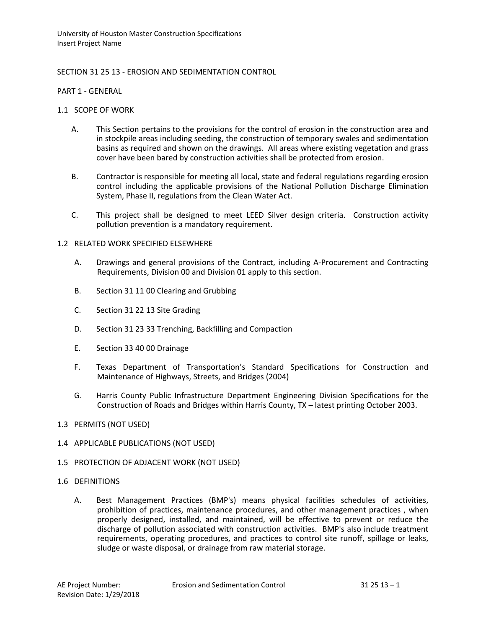## SECTION 31 25 13 - EROSION AND SEDIMENTATION CONTROL

PART 1 - GENERAL

- 1.1 SCOPE OF WORK
	- A. This Section pertains to the provisions for the control of erosion in the construction area and in stockpile areas including seeding, the construction of temporary swales and sedimentation basins as required and shown on the drawings. All areas where existing vegetation and grass cover have been bared by construction activities shall be protected from erosion.
	- B. Contractor is responsible for meeting all local, state and federal regulations regarding erosion control including the applicable provisions of the National Pollution Discharge Elimination System, Phase II, regulations from the Clean Water Act.
	- C. This project shall be designed to meet LEED Silver design criteria. Construction activity pollution prevention is a mandatory requirement.

#### 1.2 RELATED WORK SPECIFIED ELSEWHERE

- A. Drawings and general provisions of the Contract, including A-Procurement and Contracting Requirements, Division 00 and Division 01 apply to this section.
- B. Section 31 11 00 Clearing and Grubbing
- C. Section 31 22 13 Site Grading
- D. Section 31 23 33 Trenching, Backfilling and Compaction
- E. Section 33 40 00 Drainage
- F. Texas Department of Transportation's Standard Specifications for Construction and Maintenance of Highways, Streets, and Bridges (2004)
- G. Harris County Public Infrastructure Department Engineering Division Specifications for the Construction of Roads and Bridges within Harris County, TX – latest printing October 2003.
- 1.3 PERMITS (NOT USED)
- 1.4 APPLICABLE PUBLICATIONS (NOT USED)
- 1.5 PROTECTION OF ADJACENT WORK (NOT USED)
- 1.6 DEFINITIONS
	- A. Best Management Practices (BMP's) means physical facilities schedules of activities, prohibition of practices, maintenance procedures, and other management practices , when properly designed, installed, and maintained, will be effective to prevent or reduce the discharge of pollution associated with construction activities. BMP's also include treatment requirements, operating procedures, and practices to control site runoff, spillage or leaks, sludge or waste disposal, or drainage from raw material storage.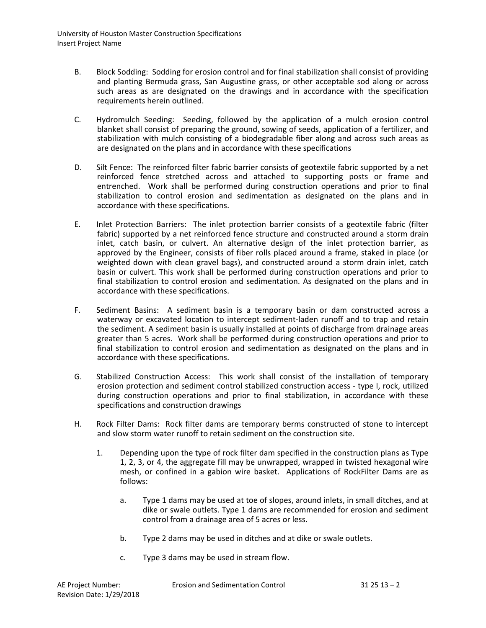- B. Block Sodding: Sodding for erosion control and for final stabilization shall consist of providing and planting Bermuda grass, San Augustine grass, or other acceptable sod along or across such areas as are designated on the drawings and in accordance with the specification requirements herein outlined.
- C. Hydromulch Seeding: Seeding, followed by the application of a mulch erosion control blanket shall consist of preparing the ground, sowing of seeds, application of a fertilizer, and stabilization with mulch consisting of a biodegradable fiber along and across such areas as are designated on the plans and in accordance with these specifications
- D. Silt Fence: The reinforced filter fabric barrier consists of geotextile fabric supported by a net reinforced fence stretched across and attached to supporting posts or frame and entrenched. Work shall be performed during construction operations and prior to final stabilization to control erosion and sedimentation as designated on the plans and in accordance with these specifications.
- E. Inlet Protection Barriers: The inlet protection barrier consists of a geotextile fabric (filter fabric) supported by a net reinforced fence structure and constructed around a storm drain inlet, catch basin, or culvert. An alternative design of the inlet protection barrier, as approved by the Engineer, consists of fiber rolls placed around a frame, staked in place (or weighted down with clean gravel bags), and constructed around a storm drain inlet, catch basin or culvert. This work shall be performed during construction operations and prior to final stabilization to control erosion and sedimentation. As designated on the plans and in accordance with these specifications.
- F. Sediment Basins: A sediment basin is a temporary basin or dam constructed across a waterway or excavated location to intercept sediment-laden runoff and to trap and retain the sediment. A sediment basin is usually installed at points of discharge from drainage areas greater than 5 acres. Work shall be performed during construction operations and prior to final stabilization to control erosion and sedimentation as designated on the plans and in accordance with these specifications.
- G. Stabilized Construction Access: This work shall consist of the installation of temporary erosion protection and sediment control stabilized construction access - type I, rock, utilized during construction operations and prior to final stabilization, in accordance with these specifications and construction drawings
- H. Rock Filter Dams: Rock filter dams are temporary berms constructed of stone to intercept and slow storm water runoff to retain sediment on the construction site.
	- 1. Depending upon the type of rock filter dam specified in the construction plans as Type 1, 2, 3, or 4, the aggregate fill may be unwrapped, wrapped in twisted hexagonal wire mesh, or confined in a gabion wire basket. Applications of RockFilter Dams are as follows:
		- a. Type 1 dams may be used at toe of slopes, around inlets, in small ditches, and at dike or swale outlets. Type 1 dams are recommended for erosion and sediment control from a drainage area of 5 acres or less.
		- b. Type 2 dams may be used in ditches and at dike or swale outlets.
		- c. Type 3 dams may be used in stream flow.

AE Project Number: Erosion and Sedimentation Control 31 25 13 – 2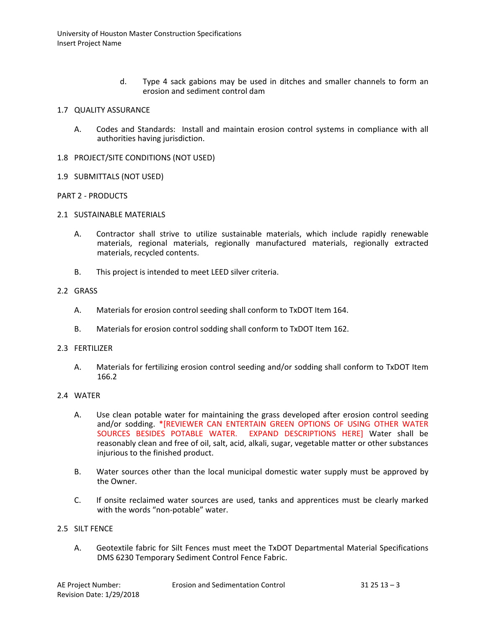d. Type 4 sack gabions may be used in ditches and smaller channels to form an erosion and sediment control dam

#### 1.7 QUALITY ASSURANCE

- A. Codes and Standards: Install and maintain erosion control systems in compliance with all authorities having jurisdiction.
- 1.8 PROJECT/SITE CONDITIONS (NOT USED)
- 1.9 SUBMITTALS (NOT USED)

## PART 2 - PRODUCTS

- 2.1 SUSTAINABLE MATERIALS
	- A. Contractor shall strive to utilize sustainable materials, which include rapidly renewable materials, regional materials, regionally manufactured materials, regionally extracted materials, recycled contents.
	- B. This project is intended to meet LEED silver criteria.

#### 2.2 GRASS

- A. Materials for erosion control seeding shall conform to TxDOT Item 164.
- B. Materials for erosion control sodding shall conform to TxDOT Item 162.

#### 2.3 FERTILIZER

A. Materials for fertilizing erosion control seeding and/or sodding shall conform to TxDOT Item 166.2

#### 2.4 WATER

- A. Use clean potable water for maintaining the grass developed after erosion control seeding and/or sodding. \*[REVIEWER CAN ENTERTAIN GREEN OPTIONS OF USING OTHER WATER SOURCES BESIDES POTABLE WATER. EXPAND DESCRIPTIONS HERE] Water shall be reasonably clean and free of oil, salt, acid, alkali, sugar, vegetable matter or other substances injurious to the finished product.
- B. Water sources other than the local municipal domestic water supply must be approved by the Owner.
- C. If onsite reclaimed water sources are used, tanks and apprentices must be clearly marked with the words "non-potable" water.

#### 2.5 SILT FENCE

A. Geotextile fabric for Silt Fences must meet the TxDOT Departmental Material Specifications DMS 6230 Temporary Sediment Control Fence Fabric.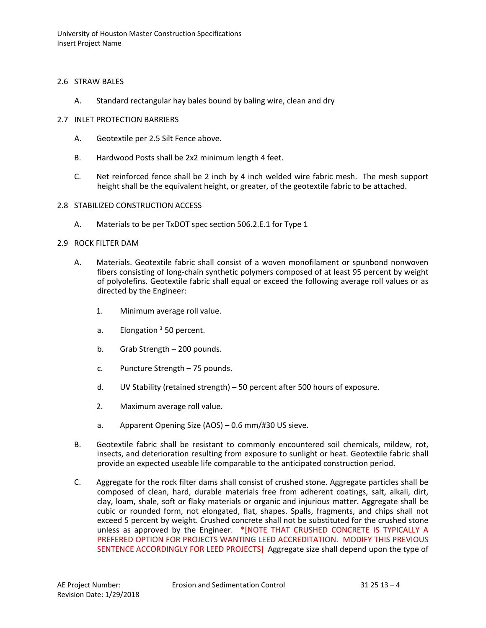## 2.6 STRAW BALES

- A. Standard rectangular hay bales bound by baling wire, clean and dry
- 2.7 INLET PROTECTION BARRIERS
	- A. Geotextile per 2.5 Silt Fence above.
	- B. Hardwood Posts shall be 2x2 minimum length 4 feet.
	- C. Net reinforced fence shall be 2 inch by 4 inch welded wire fabric mesh. The mesh support height shall be the equivalent height, or greater, of the geotextile fabric to be attached.
- 2.8 STABILIZED CONSTRUCTION ACCESS
	- A. Materials to be per TxDOT spec section 506.2.E.1 for Type 1

## 2.9 ROCK FILTER DAM

- A. Materials. Geotextile fabric shall consist of a woven monofilament or spunbond nonwoven fibers consisting of long-chain synthetic polymers composed of at least 95 percent by weight of polyolefins. Geotextile fabric shall equal or exceed the following average roll values or as directed by the Engineer:
	- 1. Minimum average roll value.
	- a. Elongation  $3$  50 percent.
	- b. Grab Strength 200 pounds.
	- c. Puncture Strength 75 pounds.
	- d. UV Stability (retained strength) 50 percent after 500 hours of exposure.
	- 2. Maximum average roll value.
	- a. Apparent Opening Size (AOS) 0.6 mm/#30 US sieve.
- B. Geotextile fabric shall be resistant to commonly encountered soil chemicals, mildew, rot, insects, and deterioration resulting from exposure to sunlight or heat. Geotextile fabric shall provide an expected useable life comparable to the anticipated construction period.
- C. Aggregate for the rock filter dams shall consist of crushed stone. Aggregate particles shall be composed of clean, hard, durable materials free from adherent coatings, salt, alkali, dirt, clay, loam, shale, soft or flaky materials or organic and injurious matter. Aggregate shall be cubic or rounded form, not elongated, flat, shapes. Spalls, fragments, and chips shall not exceed 5 percent by weight. Crushed concrete shall not be substituted for the crushed stone unless as approved by the Engineer. \*[NOTE THAT CRUSHED CONCRETE IS TYPICALLY A PREFERED OPTION FOR PROJECTS WANTING LEED ACCREDITATION. MODIFY THIS PREVIOUS SENTENCE ACCORDINGLY FOR LEED PROJECTS] Aggregate size shall depend upon the type of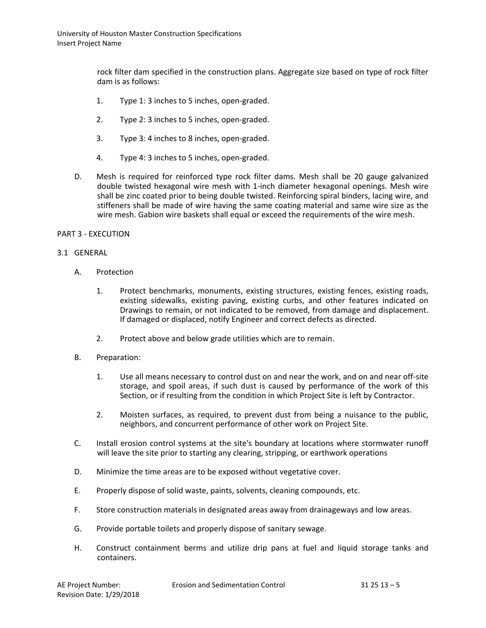rock filter dam specified in the construction plans. Aggregate size based on type of rock filter dam is as follows:

- 1. Type 1: 3 inches to 5 inches, open-graded.
- 2. Type 2: 3 inches to 5 inches, open-graded.
- 3. Type 3: 4 inches to 8 inches, open-graded.
- 4. Type 4: 3 inches to 5 inches, open-graded.
- D. Mesh is required for reinforced type rock filter dams. Mesh shall be 20 gauge galvanized double twisted hexagonal wire mesh with 1-inch diameter hexagonal openings. Mesh wire shall be zinc coated prior to being double twisted. Reinforcing spiral binders, lacing wire, and stiffeners shall be made of wire having the same coating material and same wire size as the wire mesh. Gabion wire baskets shall equal or exceed the requirements of the wire mesh.

#### PART 3 - EXECUTION

#### 3.1 GENERAL

- A. Protection
	- 1. Protect benchmarks, monuments, existing structures, existing fences, existing roads, existing sidewalks, existing paving, existing curbs, and other features indicated on Drawings to remain, or not indicated to be removed, from damage and displacement. If damaged or displaced, notify Engineer and correct defects as directed.
	- 2. Protect above and below grade utilities which are to remain.
- B. Preparation:
	- 1. Use all means necessary to control dust on and near the work, and on and near off-site storage, and spoil areas, if such dust is caused by performance of the work of this Section, or if resulting from the condition in which Project Site is left by Contractor.
	- 2. Moisten surfaces, as required, to prevent dust from being a nuisance to the public, neighbors, and concurrent performance of other work on Project Site.
- C. Install erosion control systems at the site's boundary at locations where stormwater runoff will leave the site prior to starting any clearing, stripping, or earthwork operations
- D. Minimize the time areas are to be exposed without vegetative cover.
- E. Properly dispose of solid waste, paints, solvents, cleaning compounds, etc.
- F. Store construction materials in designated areas away from drainageways and low areas.
- G. Provide portable toilets and properly dispose of sanitary sewage.
- H. Construct containment berms and utilize drip pans at fuel and liquid storage tanks and containers.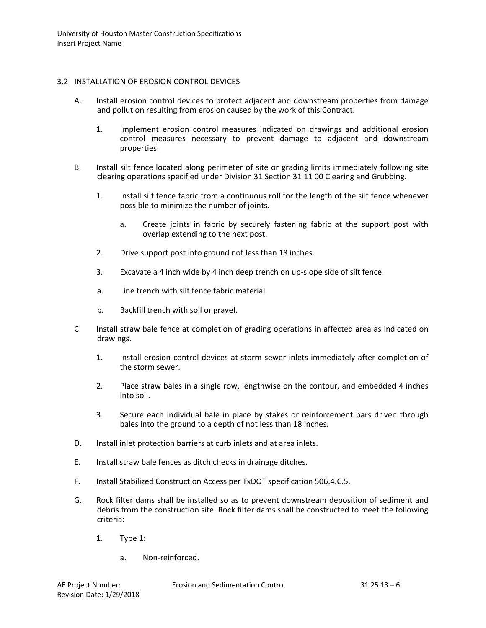## 3.2 INSTALLATION OF EROSION CONTROL DEVICES

- A. Install erosion control devices to protect adjacent and downstream properties from damage and pollution resulting from erosion caused by the work of this Contract.
	- 1. Implement erosion control measures indicated on drawings and additional erosion control measures necessary to prevent damage to adjacent and downstream properties.
- B. Install silt fence located along perimeter of site or grading limits immediately following site clearing operations specified under Division 31 Section 31 11 00 Clearing and Grubbing.
	- 1. Install silt fence fabric from a continuous roll for the length of the silt fence whenever possible to minimize the number of joints.
		- a. Create joints in fabric by securely fastening fabric at the support post with overlap extending to the next post.
	- 2. Drive support post into ground not less than 18 inches.
	- 3. Excavate a 4 inch wide by 4 inch deep trench on up-slope side of silt fence.
	- a. Line trench with silt fence fabric material.
	- b. Backfill trench with soil or gravel.
- C. Install straw bale fence at completion of grading operations in affected area as indicated on drawings.
	- 1. Install erosion control devices at storm sewer inlets immediately after completion of the storm sewer.
	- 2. Place straw bales in a single row, lengthwise on the contour, and embedded 4 inches into soil.
	- 3. Secure each individual bale in place by stakes or reinforcement bars driven through bales into the ground to a depth of not less than 18 inches.
- D. Install inlet protection barriers at curb inlets and at area inlets.
- E. Install straw bale fences as ditch checks in drainage ditches.
- F. Install Stabilized Construction Access per TxDOT specification 506.4.C.5.
- G. Rock filter dams shall be installed so as to prevent downstream deposition of sediment and debris from the construction site. Rock filter dams shall be constructed to meet the following criteria:
	- 1. Type 1:
		- a. Non-reinforced.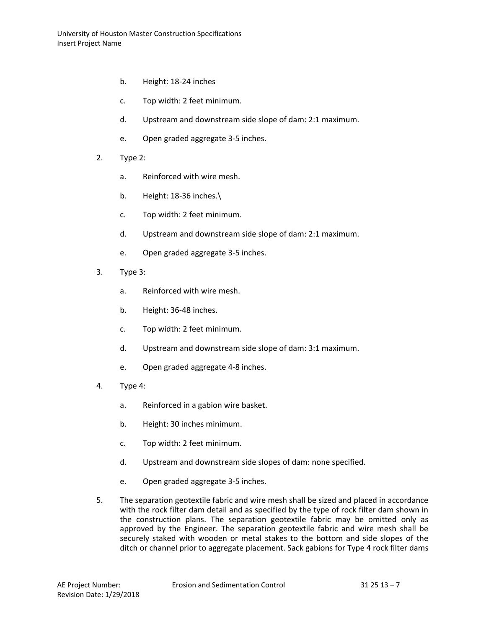- b. Height: 18-24 inches
- c. Top width: 2 feet minimum.
- d. Upstream and downstream side slope of dam: 2:1 maximum.
- e. Open graded aggregate 3-5 inches.
- 2. Type 2:
	- a. Reinforced with wire mesh.
	- b. Height: 18-36 inches.\
	- c. Top width: 2 feet minimum.
	- d. Upstream and downstream side slope of dam: 2:1 maximum.
	- e. Open graded aggregate 3-5 inches.
- 3. Type 3:
	- a. Reinforced with wire mesh.
	- b. Height: 36-48 inches.
	- c. Top width: 2 feet minimum.
	- d. Upstream and downstream side slope of dam: 3:1 maximum.
	- e. Open graded aggregate 4-8 inches.
- 4. Type 4:
	- a. Reinforced in a gabion wire basket.
	- b. Height: 30 inches minimum.
	- c. Top width: 2 feet minimum.
	- d. Upstream and downstream side slopes of dam: none specified.
	- e. Open graded aggregate 3-5 inches.
- 5. The separation geotextile fabric and wire mesh shall be sized and placed in accordance with the rock filter dam detail and as specified by the type of rock filter dam shown in the construction plans. The separation geotextile fabric may be omitted only as approved by the Engineer. The separation geotextile fabric and wire mesh shall be securely staked with wooden or metal stakes to the bottom and side slopes of the ditch or channel prior to aggregate placement. Sack gabions for Type 4 rock filter dams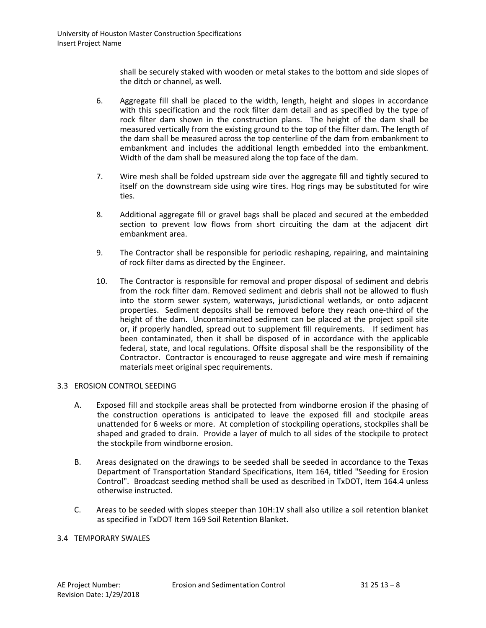shall be securely staked with wooden or metal stakes to the bottom and side slopes of the ditch or channel, as well.

- 6. Aggregate fill shall be placed to the width, length, height and slopes in accordance with this specification and the rock filter dam detail and as specified by the type of rock filter dam shown in the construction plans. The height of the dam shall be measured vertically from the existing ground to the top of the filter dam. The length of the dam shall be measured across the top centerline of the dam from embankment to embankment and includes the additional length embedded into the embankment. Width of the dam shall be measured along the top face of the dam.
- 7. Wire mesh shall be folded upstream side over the aggregate fill and tightly secured to itself on the downstream side using wire tires. Hog rings may be substituted for wire ties.
- 8. Additional aggregate fill or gravel bags shall be placed and secured at the embedded section to prevent low flows from short circuiting the dam at the adjacent dirt embankment area.
- 9. The Contractor shall be responsible for periodic reshaping, repairing, and maintaining of rock filter dams as directed by the Engineer.
- 10. The Contractor is responsible for removal and proper disposal of sediment and debris from the rock filter dam. Removed sediment and debris shall not be allowed to flush into the storm sewer system, waterways, jurisdictional wetlands, or onto adjacent properties. Sediment deposits shall be removed before they reach one-third of the height of the dam. Uncontaminated sediment can be placed at the project spoil site or, if properly handled, spread out to supplement fill requirements. If sediment has been contaminated, then it shall be disposed of in accordance with the applicable federal, state, and local regulations. Offsite disposal shall be the responsibility of the Contractor. Contractor is encouraged to reuse aggregate and wire mesh if remaining materials meet original spec requirements.

## 3.3 EROSION CONTROL SEEDING

- A. Exposed fill and stockpile areas shall be protected from windborne erosion if the phasing of the construction operations is anticipated to leave the exposed fill and stockpile areas unattended for 6 weeks or more. At completion of stockpiling operations, stockpiles shall be shaped and graded to drain. Provide a layer of mulch to all sides of the stockpile to protect the stockpile from windborne erosion.
- B. Areas designated on the drawings to be seeded shall be seeded in accordance to the Texas Department of Transportation Standard Specifications, Item 164, titled "Seeding for Erosion Control". Broadcast seeding method shall be used as described in TxDOT, Item 164.4 unless otherwise instructed.
- C. Areas to be seeded with slopes steeper than 10H:1V shall also utilize a soil retention blanket as specified in TxDOT Item 169 Soil Retention Blanket.

#### 3.4 TEMPORARY SWALES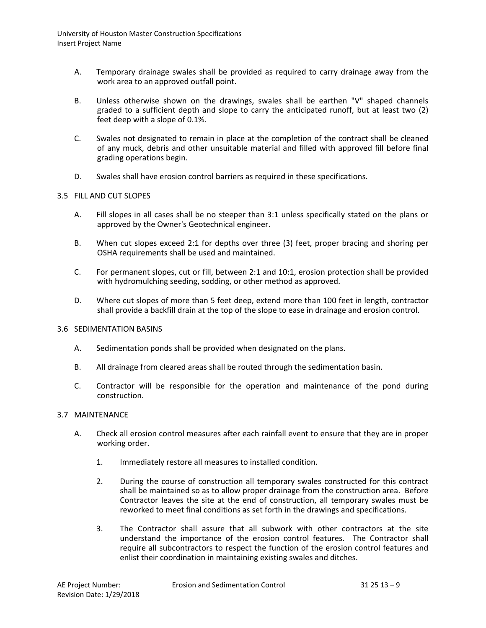- A. Temporary drainage swales shall be provided as required to carry drainage away from the work area to an approved outfall point.
- B. Unless otherwise shown on the drawings, swales shall be earthen "V" shaped channels graded to a sufficient depth and slope to carry the anticipated runoff, but at least two (2) feet deep with a slope of 0.1%.
- C. Swales not designated to remain in place at the completion of the contract shall be cleaned of any muck, debris and other unsuitable material and filled with approved fill before final grading operations begin.
- D. Swales shall have erosion control barriers as required in these specifications.

#### 3.5 FILL AND CUT SLOPES

- A. Fill slopes in all cases shall be no steeper than 3:1 unless specifically stated on the plans or approved by the Owner's Geotechnical engineer.
- B. When cut slopes exceed 2:1 for depths over three (3) feet, proper bracing and shoring per OSHA requirements shall be used and maintained.
- C. For permanent slopes, cut or fill, between 2:1 and 10:1, erosion protection shall be provided with hydromulching seeding, sodding, or other method as approved.
- D. Where cut slopes of more than 5 feet deep, extend more than 100 feet in length, contractor shall provide a backfill drain at the top of the slope to ease in drainage and erosion control.

#### 3.6 SEDIMENTATION BASINS

- A. Sedimentation ponds shall be provided when designated on the plans.
- B. All drainage from cleared areas shall be routed through the sedimentation basin.
- C. Contractor will be responsible for the operation and maintenance of the pond during construction.

#### 3.7 MAINTENANCE

- A. Check all erosion control measures after each rainfall event to ensure that they are in proper working order.
	- 1. Immediately restore all measures to installed condition.
	- 2. During the course of construction all temporary swales constructed for this contract shall be maintained so as to allow proper drainage from the construction area. Before Contractor leaves the site at the end of construction, all temporary swales must be reworked to meet final conditions as set forth in the drawings and specifications.
	- 3. The Contractor shall assure that all subwork with other contractors at the site understand the importance of the erosion control features. The Contractor shall require all subcontractors to respect the function of the erosion control features and enlist their coordination in maintaining existing swales and ditches.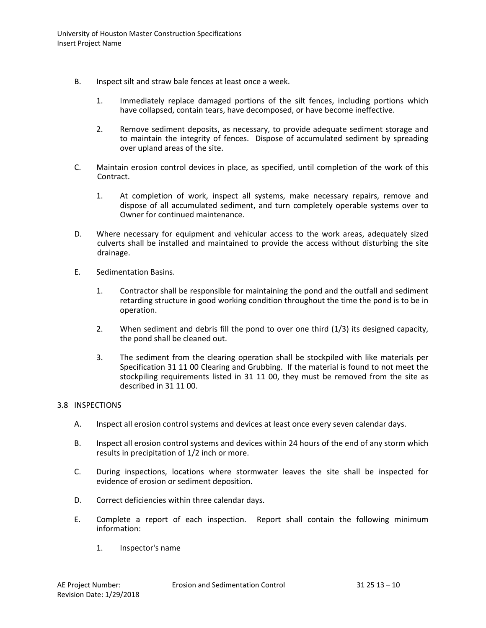- B. Inspect silt and straw bale fences at least once a week.
	- 1. Immediately replace damaged portions of the silt fences, including portions which have collapsed, contain tears, have decomposed, or have become ineffective.
	- 2. Remove sediment deposits, as necessary, to provide adequate sediment storage and to maintain the integrity of fences. Dispose of accumulated sediment by spreading over upland areas of the site.
- C. Maintain erosion control devices in place, as specified, until completion of the work of this Contract.
	- 1. At completion of work, inspect all systems, make necessary repairs, remove and dispose of all accumulated sediment, and turn completely operable systems over to Owner for continued maintenance.
- D. Where necessary for equipment and vehicular access to the work areas, adequately sized culverts shall be installed and maintained to provide the access without disturbing the site drainage.
- E. Sedimentation Basins.
	- 1. Contractor shall be responsible for maintaining the pond and the outfall and sediment retarding structure in good working condition throughout the time the pond is to be in operation.
	- 2. When sediment and debris fill the pond to over one third (1/3) its designed capacity, the pond shall be cleaned out.
	- 3. The sediment from the clearing operation shall be stockpiled with like materials per Specification 31 11 00 Clearing and Grubbing. If the material is found to not meet the stockpiling requirements listed in 31 11 00, they must be removed from the site as described in 31 11 00.

# 3.8 INSPECTIONS

- A. Inspect all erosion control systems and devices at least once every seven calendar days.
- B. Inspect all erosion control systems and devices within 24 hours of the end of any storm which results in precipitation of 1/2 inch or more.
- C. During inspections, locations where stormwater leaves the site shall be inspected for evidence of erosion or sediment deposition.
- D. Correct deficiencies within three calendar days.
- E. Complete a report of each inspection. Report shall contain the following minimum information:
	- 1. Inspector's name